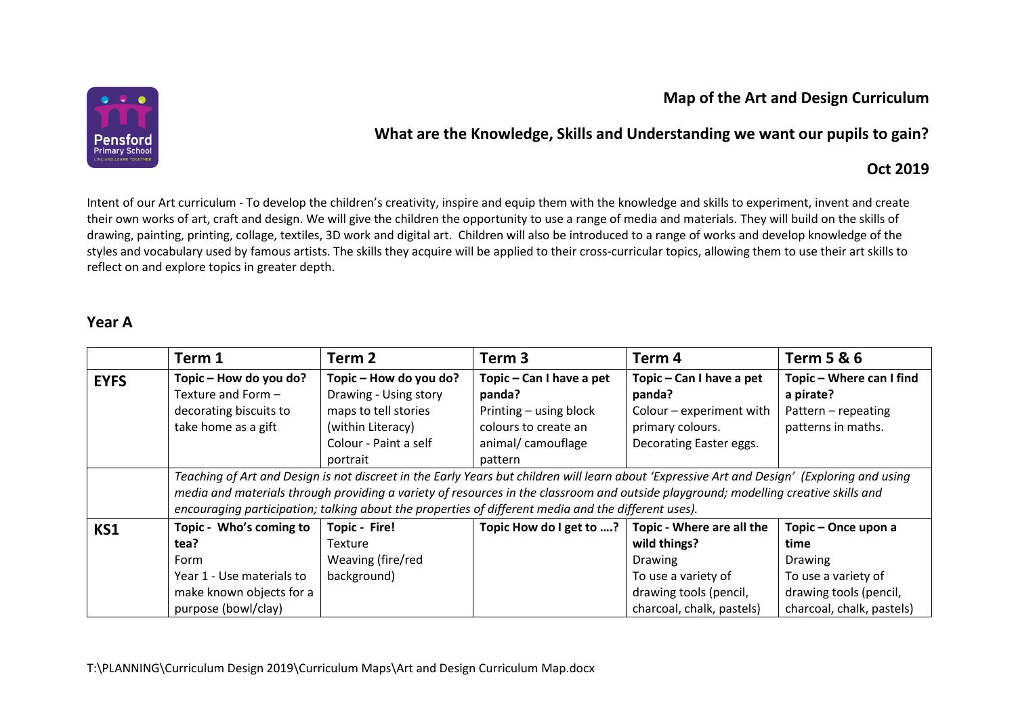# **Map of the Art and Design Curriculum**



# **What are the Knowledge, Skills and Understanding we want our pupils to gain?**

### **Oct 2019**

Intent of our Art curriculum - To develop the children's creativity, inspire and equip them with the knowledge and skills to experiment, invent and create their own works of art, craft and design. We will give the children the opportunity to use a range of media and materials. They will build on the skills of drawing, painting, printing, collage, textiles, 3D work and digital art. Children will also be introduced to a range of works and develop knowledge of the styles and vocabulary used by famous artists. The skills they acquire will be applied to their cross-curricular topics, allowing them to use their art skills to reflect on and explore topics in greater depth.

#### **Year A**

|             | Term 1                                                                                                                                       | Term 2                                          | Term <sub>3</sub>                                                                                                                                                                                                                          | Term 4                             | <b>Term 5 &amp; 6</b>                 |
|-------------|----------------------------------------------------------------------------------------------------------------------------------------------|-------------------------------------------------|--------------------------------------------------------------------------------------------------------------------------------------------------------------------------------------------------------------------------------------------|------------------------------------|---------------------------------------|
| <b>EYFS</b> | Topic - How do you do?<br>Texture and Form -                                                                                                 | Topic - How do you do?<br>Drawing - Using story | Topic – Can I have a pet<br>panda?                                                                                                                                                                                                         | Topic - Can I have a pet<br>panda? | Topic - Where can I find<br>a pirate? |
|             | decorating biscuits to                                                                                                                       | maps to tell stories                            | Printing - using block                                                                                                                                                                                                                     | Colour - experiment with           | Pattern - repeating                   |
|             | take home as a gift                                                                                                                          | (within Literacy)                               | colours to create an                                                                                                                                                                                                                       | primary colours.                   | patterns in maths.                    |
|             |                                                                                                                                              | Colour - Paint a self                           | animal/camouflage                                                                                                                                                                                                                          | Decorating Easter eggs.            |                                       |
|             |                                                                                                                                              | portrait                                        | pattern                                                                                                                                                                                                                                    |                                    |                                       |
|             | Teaching of Art and Design is not discreet in the Early Years but children will learn about 'Expressive Art and Design' (Exploring and using |                                                 |                                                                                                                                                                                                                                            |                                    |                                       |
|             |                                                                                                                                              |                                                 | media and materials through providing a variety of resources in the classroom and outside playground; modelling creative skills and<br>encouraging participation; talking about the properties of different media and the different uses). |                                    |                                       |
| <b>KS1</b>  | Topic - Who's coming to                                                                                                                      | <b>Topic - Fire!</b>                            | Topic How do I get to ?                                                                                                                                                                                                                    | Topic - Where are all the          | Topic - Once upon a                   |
|             | tea?                                                                                                                                         | Texture                                         |                                                                                                                                                                                                                                            | wild things?                       | time                                  |
|             | Form                                                                                                                                         | Weaving (fire/red                               |                                                                                                                                                                                                                                            | <b>Drawing</b>                     | <b>Drawing</b>                        |
|             | Year 1 - Use materials to                                                                                                                    | background)                                     |                                                                                                                                                                                                                                            | To use a variety of                | To use a variety of                   |
|             | make known objects for a                                                                                                                     |                                                 |                                                                                                                                                                                                                                            | drawing tools (pencil,             | drawing tools (pencil,                |
|             | purpose (bowl/clay)                                                                                                                          |                                                 |                                                                                                                                                                                                                                            | charcoal, chalk, pastels)          | charcoal, chalk, pastels)             |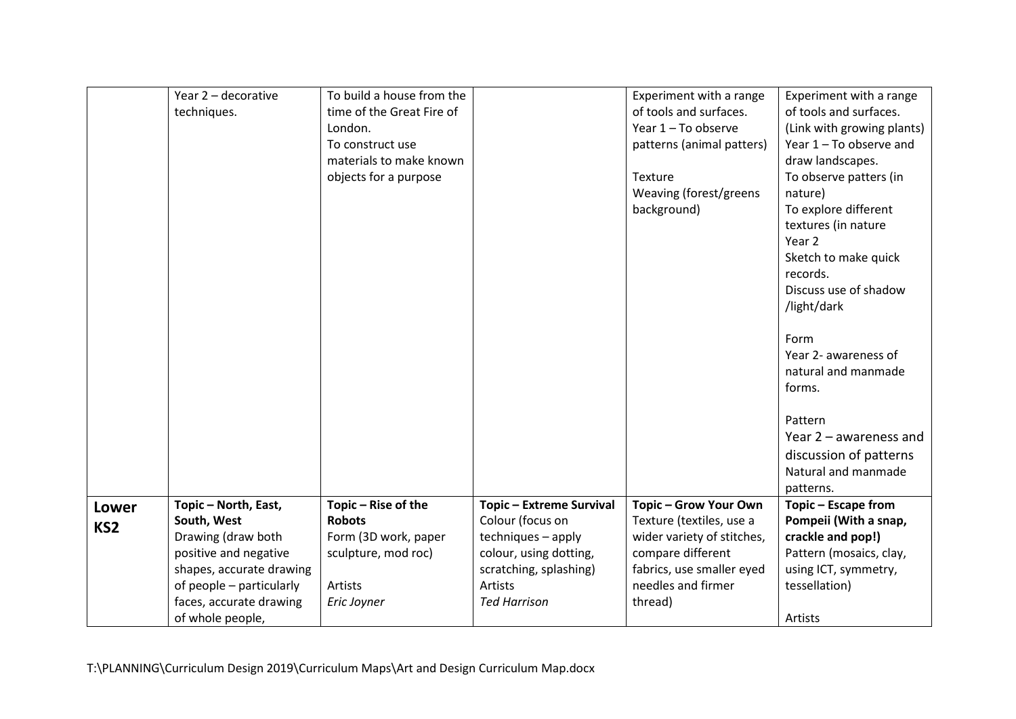|                 | Year 2 - decorative      | To build a house from the |                                 | Experiment with a range    | Experiment with a range    |
|-----------------|--------------------------|---------------------------|---------------------------------|----------------------------|----------------------------|
|                 | techniques.              | time of the Great Fire of |                                 | of tools and surfaces.     | of tools and surfaces.     |
|                 |                          | London.                   |                                 | Year 1 - To observe        | (Link with growing plants) |
|                 |                          | To construct use          |                                 | patterns (animal patters)  | Year $1 - To$ observe and  |
|                 |                          | materials to make known   |                                 |                            | draw landscapes.           |
|                 |                          | objects for a purpose     |                                 | Texture                    | To observe patters (in     |
|                 |                          |                           |                                 | Weaving (forest/greens     | nature)                    |
|                 |                          |                           |                                 | background)                | To explore different       |
|                 |                          |                           |                                 |                            | textures (in nature        |
|                 |                          |                           |                                 |                            | Year 2                     |
|                 |                          |                           |                                 |                            | Sketch to make quick       |
|                 |                          |                           |                                 |                            | records.                   |
|                 |                          |                           |                                 |                            | Discuss use of shadow      |
|                 |                          |                           |                                 |                            | /light/dark                |
|                 |                          |                           |                                 |                            |                            |
|                 |                          |                           |                                 |                            | Form                       |
|                 |                          |                           |                                 |                            | Year 2- awareness of       |
|                 |                          |                           |                                 |                            | natural and manmade        |
|                 |                          |                           |                                 |                            | forms.                     |
|                 |                          |                           |                                 |                            |                            |
|                 |                          |                           |                                 |                            | Pattern                    |
|                 |                          |                           |                                 |                            | Year $2$ – awareness and   |
|                 |                          |                           |                                 |                            | discussion of patterns     |
|                 |                          |                           |                                 |                            | Natural and manmade        |
|                 |                          |                           |                                 |                            | patterns.                  |
| Lower           | Topic - North, East,     | Topic - Rise of the       | <b>Topic - Extreme Survival</b> | Topic - Grow Your Own      | Topic - Escape from        |
| KS <sub>2</sub> | South, West              | <b>Robots</b>             | Colour (focus on                | Texture (textiles, use a   | Pompeii (With a snap,      |
|                 | Drawing (draw both       | Form (3D work, paper      | techniques - apply              | wider variety of stitches, | crackle and pop!)          |
|                 | positive and negative    | sculpture, mod roc)       | colour, using dotting,          | compare different          | Pattern (mosaics, clay,    |
|                 | shapes, accurate drawing |                           | scratching, splashing)          | fabrics, use smaller eyed  | using ICT, symmetry,       |
|                 | of people - particularly | Artists                   | Artists                         | needles and firmer         | tessellation)              |
|                 | faces, accurate drawing  | Eric Joyner               | <b>Ted Harrison</b>             | thread)                    |                            |
|                 | of whole people,         |                           |                                 |                            | Artists                    |

T:\PLANNING\Curriculum Design 2019\Curriculum Maps\Art and Design Curriculum Map.docx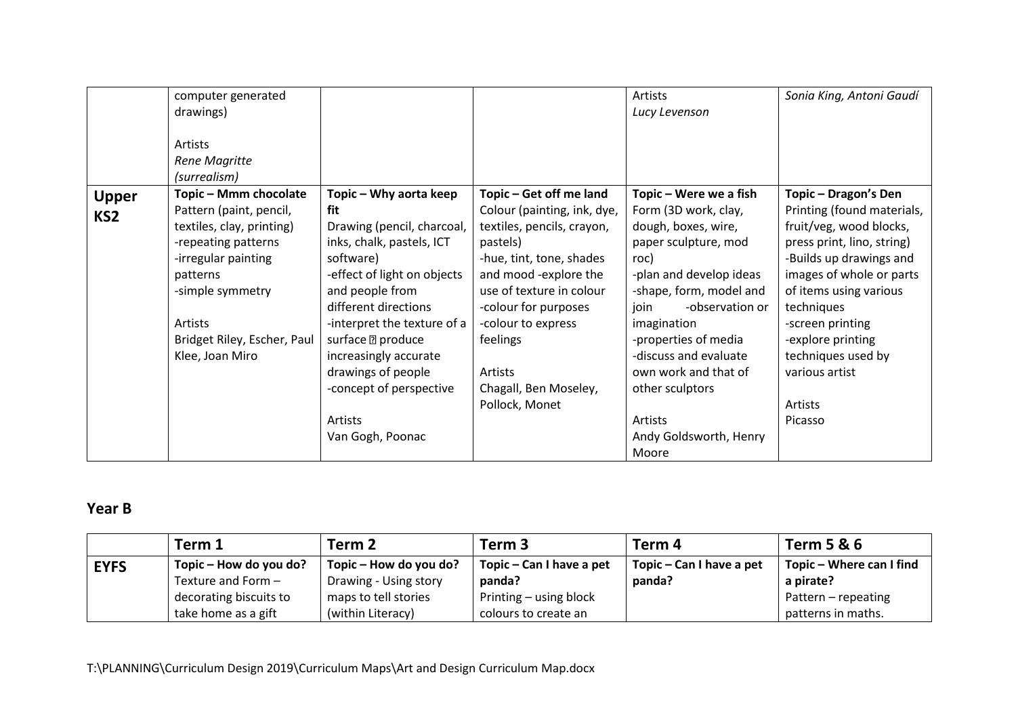|                 | computer generated          |                             |                             | Artists                 | Sonia King, Antoni Gaudí   |
|-----------------|-----------------------------|-----------------------------|-----------------------------|-------------------------|----------------------------|
|                 | drawings)                   |                             |                             | Lucy Levenson           |                            |
|                 |                             |                             |                             |                         |                            |
|                 | Artists                     |                             |                             |                         |                            |
|                 | Rene Magritte               |                             |                             |                         |                            |
|                 | (surrealism)                |                             |                             |                         |                            |
| <b>Upper</b>    | Topic - Mmm chocolate       | Topic – Why aorta keep      | Topic - Get off me land     | Topic – Were we a fish  | Topic - Dragon's Den       |
| KS <sub>2</sub> | Pattern (paint, pencil,     | fit                         | Colour (painting, ink, dye, | Form (3D work, clay,    | Printing (found materials, |
|                 | textiles, clay, printing)   | Drawing (pencil, charcoal,  | textiles, pencils, crayon,  | dough, boxes, wire,     | fruit/veg, wood blocks,    |
|                 | -repeating patterns         | inks, chalk, pastels, ICT   | pastels)                    | paper sculpture, mod    | press print, lino, string) |
|                 | -irregular painting         | software)                   | -hue, tint, tone, shades    | roc)                    | -Builds up drawings and    |
|                 | patterns                    | -effect of light on objects | and mood -explore the       | -plan and develop ideas | images of whole or parts   |
|                 | -simple symmetry            | and people from             | use of texture in colour    | -shape, form, model and | of items using various     |
|                 |                             | different directions        | -colour for purposes        | -observation or<br>join | techniques                 |
|                 | Artists                     | -interpret the texture of a | -colour to express          | imagination             | -screen printing           |
|                 | Bridget Riley, Escher, Paul | surface <b>D</b> produce    | feelings                    | -properties of media    | -explore printing          |
|                 | Klee, Joan Miro             | increasingly accurate       |                             | -discuss and evaluate   | techniques used by         |
|                 |                             | drawings of people          | Artists                     | own work and that of    | various artist             |
|                 |                             | -concept of perspective     | Chagall, Ben Moseley,       | other sculptors         |                            |
|                 |                             |                             | Pollock, Monet              |                         | Artists                    |
|                 |                             | Artists                     |                             | <b>Artists</b>          | Picasso                    |
|                 |                             | Van Gogh, Poonac            |                             | Andy Goldsworth, Henry  |                            |
|                 |                             |                             |                             | Moore                   |                            |

# **Year B**

|             | Term 1                 | Term 2                 | Term <sub>3</sub>        | Term 4                   | <b>Term 5 &amp; 6</b>    |
|-------------|------------------------|------------------------|--------------------------|--------------------------|--------------------------|
| <b>EYFS</b> | Topic – How do you do? | Topic – How do you do? | Topic – Can I have a pet | Topic – Can I have a pet | Topic – Where can I find |
|             | Texture and Form -     | Drawing - Using story  | panda?                   | panda?                   | a pirate?                |
|             | decorating biscuits to | maps to tell stories   | Printing – using block   |                          | Pattern - repeating      |
|             | take home as a gift    | (within Literacy)      | colours to create an     |                          | patterns in maths.       |

T:\PLANNING\Curriculum Design 2019\Curriculum Maps\Art and Design Curriculum Map.docx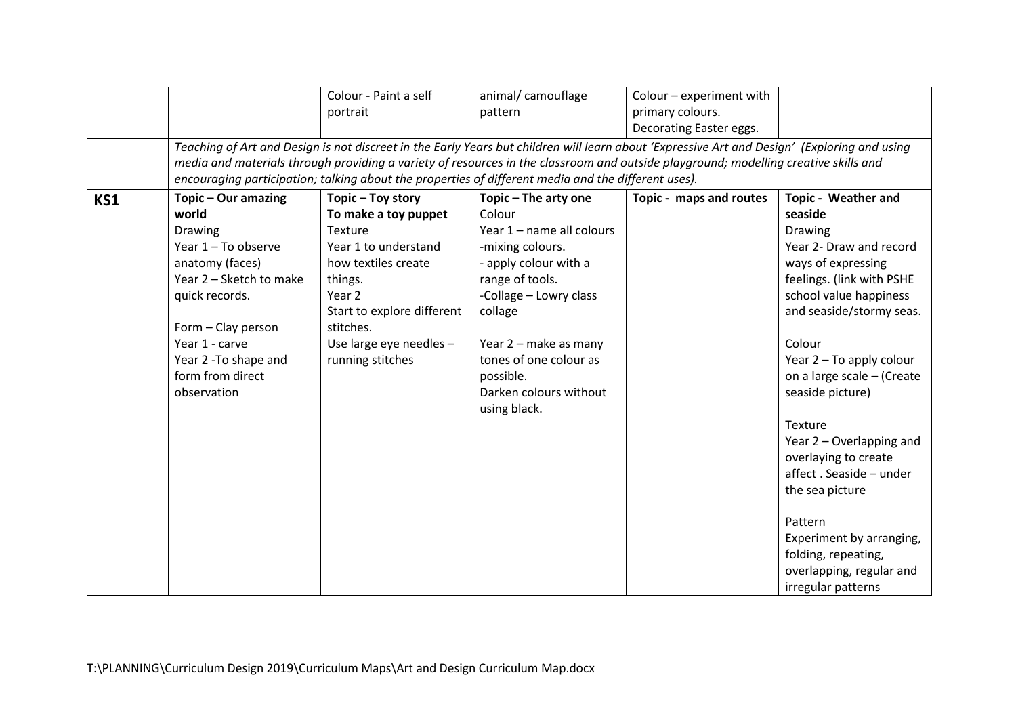|     |                         | Colour - Paint a self                                                                                                                        | animal/ camouflage        | Colour - experiment with |                            |
|-----|-------------------------|----------------------------------------------------------------------------------------------------------------------------------------------|---------------------------|--------------------------|----------------------------|
|     |                         | portrait                                                                                                                                     | pattern                   | primary colours.         |                            |
|     |                         |                                                                                                                                              |                           | Decorating Easter eggs.  |                            |
|     |                         | Teaching of Art and Design is not discreet in the Early Years but children will learn about 'Expressive Art and Design' (Exploring and using |                           |                          |                            |
|     |                         | media and materials through providing a variety of resources in the classroom and outside playground; modelling creative skills and          |                           |                          |                            |
|     |                         | encouraging participation; talking about the properties of different media and the different uses).                                          |                           |                          |                            |
| KS1 | Topic - Our amazing     | Topic - Toy story                                                                                                                            | Topic - The arty one      | Topic - maps and routes  | <b>Topic - Weather and</b> |
|     | world                   | To make a toy puppet                                                                                                                         | Colour                    |                          | seaside                    |
|     | <b>Drawing</b>          | Texture                                                                                                                                      | Year 1 - name all colours |                          | <b>Drawing</b>             |
|     | Year 1 - To observe     | Year 1 to understand                                                                                                                         | -mixing colours.          |                          | Year 2- Draw and record    |
|     | anatomy (faces)         | how textiles create                                                                                                                          | - apply colour with a     |                          | ways of expressing         |
|     | Year 2 - Sketch to make | things.                                                                                                                                      | range of tools.           |                          | feelings. (link with PSHE  |
|     | quick records.          | Year 2                                                                                                                                       | -Collage - Lowry class    |                          | school value happiness     |
|     |                         | Start to explore different                                                                                                                   | collage                   |                          | and seaside/stormy seas.   |
|     | Form - Clay person      | stitches.                                                                                                                                    |                           |                          |                            |
|     | Year 1 - carve          | Use large eye needles -                                                                                                                      | Year 2 - make as many     |                          | Colour                     |
|     | Year 2 - To shape and   | running stitches                                                                                                                             | tones of one colour as    |                          | Year 2 - To apply colour   |
|     | form from direct        |                                                                                                                                              | possible.                 |                          | on a large scale - (Create |
|     | observation             |                                                                                                                                              | Darken colours without    |                          | seaside picture)           |
|     |                         |                                                                                                                                              | using black.              |                          |                            |
|     |                         |                                                                                                                                              |                           |                          | Texture                    |
|     |                         |                                                                                                                                              |                           |                          | Year 2 – Overlapping and   |
|     |                         |                                                                                                                                              |                           |                          | overlaying to create       |
|     |                         |                                                                                                                                              |                           |                          | affect. Seaside - under    |
|     |                         |                                                                                                                                              |                           |                          | the sea picture            |
|     |                         |                                                                                                                                              |                           |                          |                            |
|     |                         |                                                                                                                                              |                           |                          | Pattern                    |
|     |                         |                                                                                                                                              |                           |                          | Experiment by arranging,   |
|     |                         |                                                                                                                                              |                           |                          | folding, repeating,        |
|     |                         |                                                                                                                                              |                           |                          | overlapping, regular and   |
|     |                         |                                                                                                                                              |                           |                          | irregular patterns         |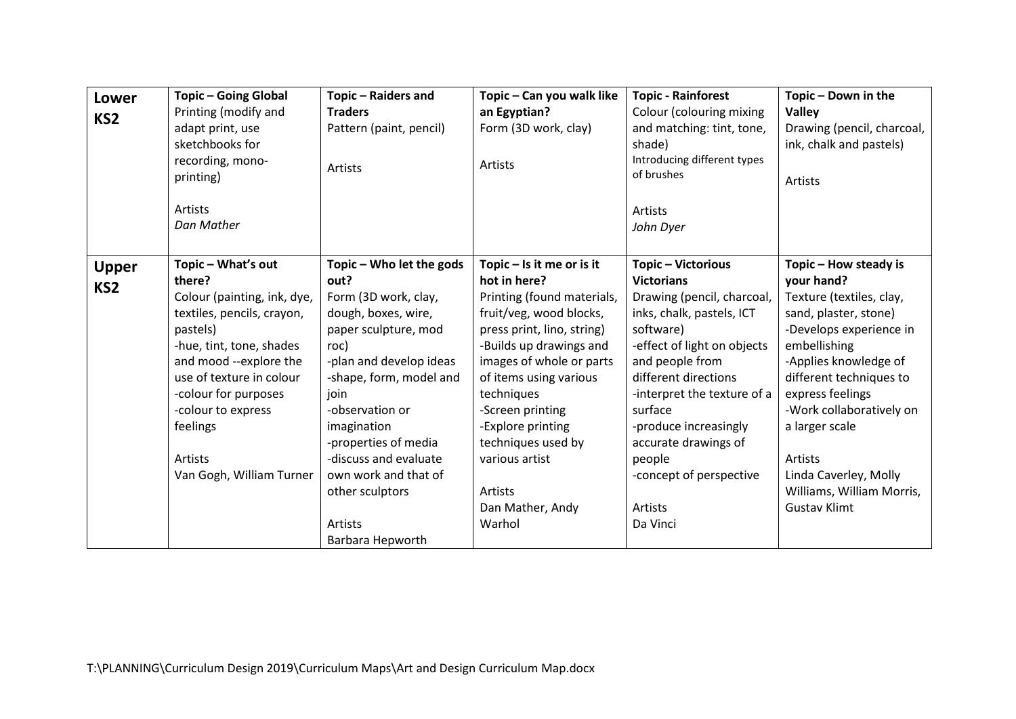| <b>Lower</b><br>KS <sub>2</sub> | <b>Topic-Going Global</b><br>Printing (modify and<br>adapt print, use<br>sketchbooks for<br>recording, mono-<br>printing)<br>Artists<br>Dan Mather                                                                                                                                       | Topic - Raiders and<br><b>Traders</b><br>Pattern (paint, pencil)<br>Artists                                                                                                                                                                                                                                                                | Topic - Can you walk like<br>an Egyptian?<br>Form (3D work, clay)<br>Artists                                                                                                                                                                                                                                                                                | <b>Topic - Rainforest</b><br>Colour (colouring mixing<br>and matching: tint, tone,<br>shade)<br>Introducing different types<br>of brushes<br>Artists<br>John Dyer                                                                                                                                                                                | Topic - Down in the<br><b>Valley</b><br>Drawing (pencil, charcoal,<br>ink, chalk and pastels)<br>Artists                                                                                                                                                                                                                                          |
|---------------------------------|------------------------------------------------------------------------------------------------------------------------------------------------------------------------------------------------------------------------------------------------------------------------------------------|--------------------------------------------------------------------------------------------------------------------------------------------------------------------------------------------------------------------------------------------------------------------------------------------------------------------------------------------|-------------------------------------------------------------------------------------------------------------------------------------------------------------------------------------------------------------------------------------------------------------------------------------------------------------------------------------------------------------|--------------------------------------------------------------------------------------------------------------------------------------------------------------------------------------------------------------------------------------------------------------------------------------------------------------------------------------------------|---------------------------------------------------------------------------------------------------------------------------------------------------------------------------------------------------------------------------------------------------------------------------------------------------------------------------------------------------|
| <b>Upper</b><br>KS <sub>2</sub> | Topic - What's out<br>there?<br>Colour (painting, ink, dye,<br>textiles, pencils, crayon,<br>pastels)<br>-hue, tint, tone, shades<br>and mood --explore the<br>use of texture in colour<br>-colour for purposes<br>-colour to express<br>feelings<br>Artists<br>Van Gogh, William Turner | Topic - Who let the gods<br>out?<br>Form (3D work, clay,<br>dough, boxes, wire,<br>paper sculpture, mod<br>roc)<br>-plan and develop ideas<br>-shape, form, model and<br>join<br>-observation or<br>imagination<br>-properties of media<br>-discuss and evaluate<br>own work and that of<br>other sculptors<br>Artists<br>Barbara Hepworth | Topic $-$ Is it me or is it<br>hot in here?<br>Printing (found materials,<br>fruit/veg, wood blocks,<br>press print, lino, string)<br>-Builds up drawings and<br>images of whole or parts<br>of items using various<br>techniques<br>-Screen printing<br>-Explore printing<br>techniques used by<br>various artist<br>Artists<br>Dan Mather, Andy<br>Warhol | Topic - Victorious<br><b>Victorians</b><br>Drawing (pencil, charcoal,<br>inks, chalk, pastels, ICT<br>software)<br>-effect of light on objects<br>and people from<br>different directions<br>-interpret the texture of a<br>surface<br>-produce increasingly<br>accurate drawings of<br>people<br>-concept of perspective<br>Artists<br>Da Vinci | Topic - How steady is<br>your hand?<br>Texture (textiles, clay,<br>sand, plaster, stone)<br>-Develops experience in<br>embellishing<br>-Applies knowledge of<br>different techniques to<br>express feelings<br>-Work collaboratively on<br>a larger scale<br>Artists<br>Linda Caverley, Molly<br>Williams, William Morris,<br><b>Gustav Klimt</b> |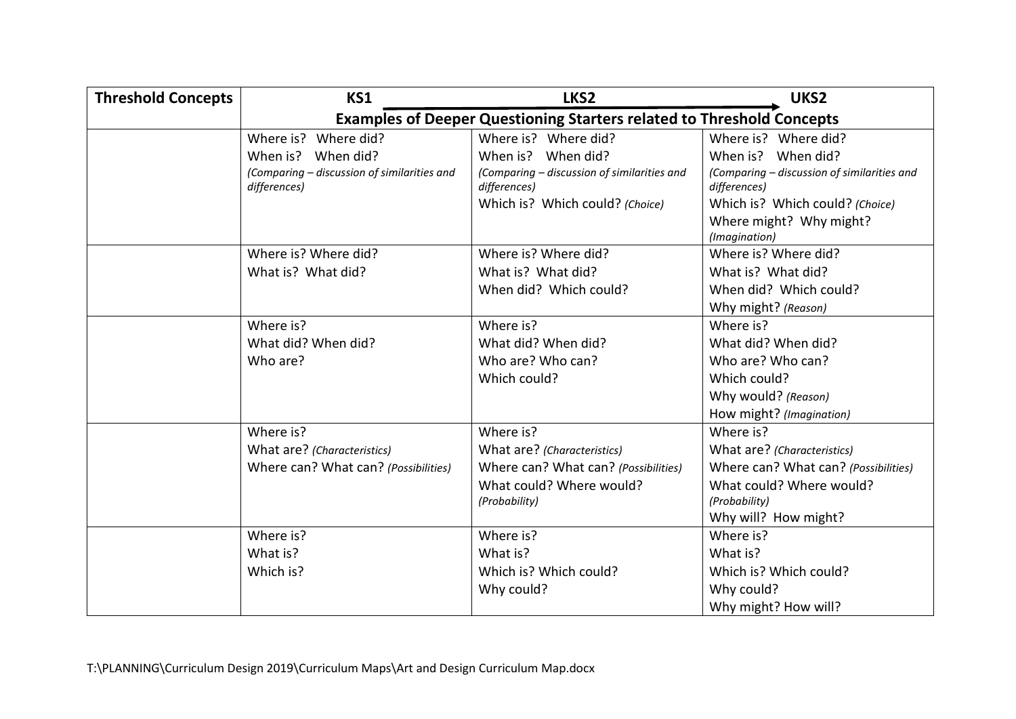| <b>Threshold Concepts</b> | KS1                                                                          | LKS2                                        | UKS2                                        |  |  |
|---------------------------|------------------------------------------------------------------------------|---------------------------------------------|---------------------------------------------|--|--|
|                           | <b>Examples of Deeper Questioning Starters related to Threshold Concepts</b> |                                             |                                             |  |  |
|                           | Where is? Where did?                                                         | Where is? Where did?                        | Where is? Where did?                        |  |  |
|                           | When is? When did?                                                           | When is? When did?                          | When is? When did?                          |  |  |
|                           | (Comparing - discussion of similarities and                                  | (Comparing - discussion of similarities and | (Comparing - discussion of similarities and |  |  |
|                           | differences)                                                                 | differences)                                | differences)                                |  |  |
|                           |                                                                              | Which is? Which could? (Choice)             | Which is? Which could? (Choice)             |  |  |
|                           |                                                                              |                                             | Where might? Why might?                     |  |  |
|                           | Where is? Where did?                                                         | Where is? Where did?                        | (Imagination)<br>Where is? Where did?       |  |  |
|                           | What is? What did?                                                           | What is? What did?                          | What is? What did?                          |  |  |
|                           |                                                                              | When did? Which could?                      | When did? Which could?                      |  |  |
|                           |                                                                              |                                             | Why might? (Reason)                         |  |  |
|                           | Where is?                                                                    | Where is?                                   | Where is?                                   |  |  |
|                           | What did? When did?                                                          | What did? When did?                         | What did? When did?                         |  |  |
|                           | Who are?                                                                     | Who are? Who can?                           | Who are? Who can?                           |  |  |
|                           |                                                                              | Which could?                                | Which could?                                |  |  |
|                           |                                                                              |                                             | Why would? (Reason)                         |  |  |
|                           |                                                                              |                                             | How might? (Imagination)                    |  |  |
|                           | Where is?                                                                    | Where is?                                   | Where is?                                   |  |  |
|                           | What are? (Characteristics)                                                  | What are? (Characteristics)                 | What are? (Characteristics)                 |  |  |
|                           | Where can? What can? (Possibilities)                                         | Where can? What can? (Possibilities)        | Where can? What can? (Possibilities)        |  |  |
|                           |                                                                              | What could? Where would?                    | What could? Where would?                    |  |  |
|                           |                                                                              | (Probability)                               | (Probability)                               |  |  |
|                           |                                                                              |                                             | Why will? How might?                        |  |  |
|                           | Where is?                                                                    | Where is?                                   | Where is?                                   |  |  |
|                           | What is?                                                                     | What is?                                    | What is?                                    |  |  |
|                           | Which is?                                                                    | Which is? Which could?                      | Which is? Which could?                      |  |  |
|                           |                                                                              | Why could?                                  | Why could?                                  |  |  |
|                           |                                                                              |                                             | Why might? How will?                        |  |  |